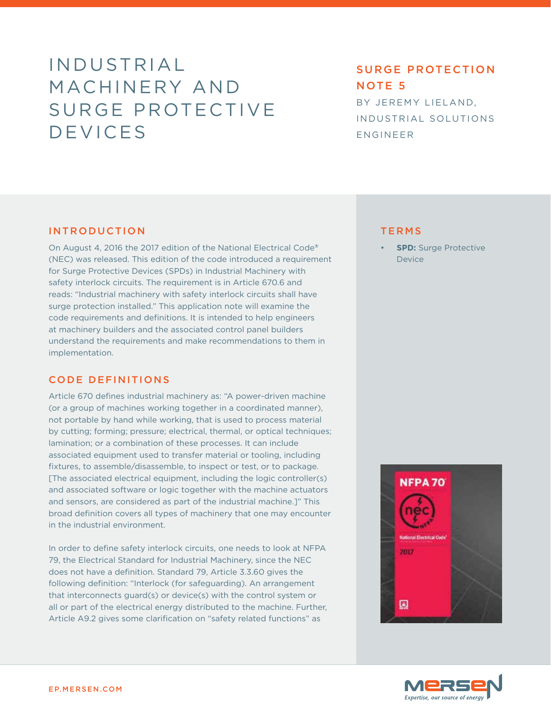# INDUSTRIAL MACHINERY AND SURGE PROTECTIVE DEVICES

# SURGE PROTECTION NOTE 5

BY JEREMY LIELAND, INDUSTRIAL SOLUTIONS ENGINEER

### INTRODUCTION

On August 4, 2016 the 2017 edition of the National Electrical Code**®** (NEC) was released. This edition of the code introduced a requirement for Surge Protective Devices (SPDs) in Industrial Machinery with safety interlock circuits. The requirement is in Article 670.6 and reads: "Industrial machinery with safety interlock circuits shall have surge protection installed." This application note will examine the code requirements and definitions. It is intended to help engineers at machinery builders and the associated control panel builders understand the requirements and make recommendations to them in implementation.

#### CODE DEFINITIONS

Article 670 defines industrial machinery as: "A power-driven machine (or a group of machines working together in a coordinated manner), not portable by hand while working, that is used to process material by cutting; forming; pressure; electrical, thermal, or optical techniques; lamination; or a combination of these processes. It can include associated equipment used to transfer material or tooling, including fixtures, to assemble/disassemble, to inspect or test, or to package. [The associated electrical equipment, including the logic controller(s) and associated software or logic together with the machine actuators and sensors, are considered as part of the industrial machine.]" This broad definition covers all types of machinery that one may encounter in the industrial environment.

In order to define safety interlock circuits, one needs to look at NFPA 79, the Electrical Standard for Industrial Machinery, since the NEC does not have a definition. Standard 79, Article 3.3.60 gives the following definition: "Interlock (for safeguarding). An arrangement that interconnects guard(s) or device(s) with the control system or all or part of the electrical energy distributed to the machine. Further, Article A9.2 gives some clarification on "safety related functions" as

#### TERMS

**SPD:** Surge Protective Device



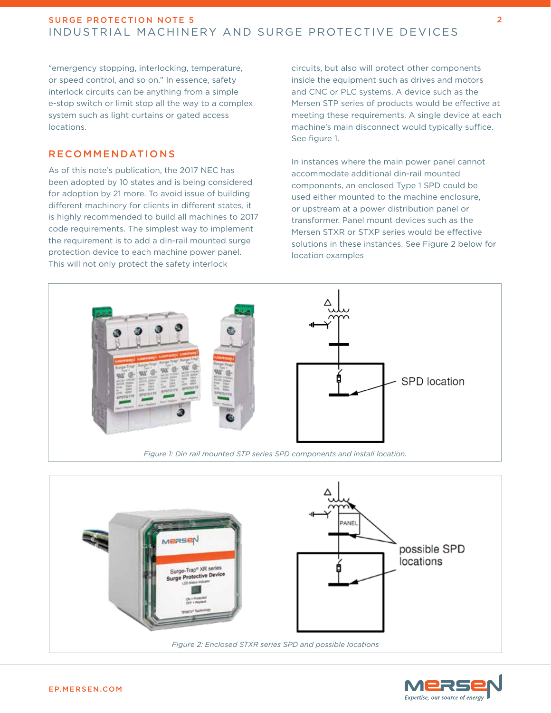"emergency stopping, interlocking, temperature, or speed control, and so on." In essence, safety interlock circuits can be anything from a simple e-stop switch or limit stop all the way to a complex system such as light curtains or gated access locations.

# RECOMMENDATIONS

As of this note's publication, the 2017 NEC has been adopted by 10 states and is being considered for adoption by 21 more. To avoid issue of building different machinery for clients in different states, it is highly recommended to build all machines to 2017 code requirements. The simplest way to implement the requirement is to add a din-rail mounted surge protection device to each machine power panel. This will not only protect the safety interlock

circuits, but also will protect other components inside the equipment such as drives and motors and CNC or PLC systems. A device such as the Mersen STP series of products would be effective at meeting these requirements. A single device at each machine's main disconnect would typically suffice. See figure 1.

In instances where the main power panel cannot accommodate additional din-rail mounted components, an enclosed Type 1 SPD could be used either mounted to the machine enclosure, or upstream at a power distribution panel or transformer. Panel mount devices such as the Mersen STXR or STXP series would be effective solutions in these instances. See Figure 2 below for location examples



*Figure 1: Din rail mounted STP series SPD components and install location.*





2